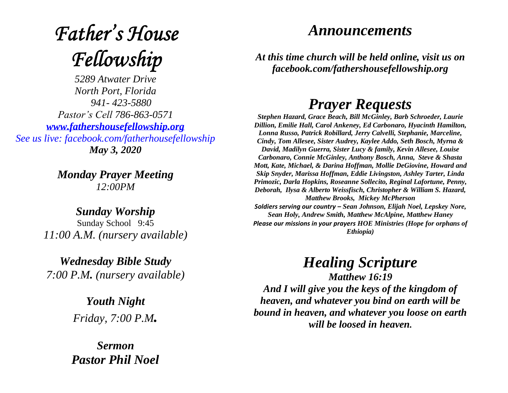## **Father's House** Fellowship

*5289 Atwater Drive North Port, Florida 941- 423-5880 Pastor's Cell 786-863-0571 [www.fathershousefellowship.org](http://www.fathershousefellowship.org/) See us live: facebook.com/fatherhousefellowship May 3, 2020*

> *Monday Prayer Meeting 12:00PM*

*Sunday Worship* Sunday School 9:45 *11:00 A.M. (nursery available)*

*Wednesday Bible Study 7:00 P.M. (nursery available)*

> *Youth Night Friday, 7:00 P.M.*

*Sermon Pastor Phil Noel*

## *Announcements*

*At this time church will be held online, visit us on facebook.com/fathershousefellowship.org*

## *Prayer Requests*

*Stephen Hazard, Grace Beach, Bill McGinley, Barb Schroeder, Laurie Dillion, Emilie Hall, Carol Ankeney, Ed Carbonaro, Hyacinth Hamilton, Lonna Russo, Patrick Robillard, Jerry Calvelli, Stephanie, Marceline, Cindy, Tom Allesee, Sister Audrey, Kaylee Addo, Seth Bosch, Myrna & David, Madilyn Guerra, Sister Lucy & family, Kevin Allesee, Louise Carbonaro, Connie McGinley, Anthony Bosch, Anna, Steve & Shasta Mott, Kate, Michael, & Darina Hoffman, Mollie DeGiovine, Howard and Skip Snyder, Marissa Hoffman, Eddie Livingston, Ashley Tarter, Linda Primozic, Darla Hopkins, Roseanne Sollecito, Reginal Lafortune, Penny, Deborah, Ilysa & Alberto Weissfisch, Christopher & William S. Hazard, Matthew Brooks, Mickey McPherson Soldiers serving our country – Sean Johnson, Elijah Noel, Lepskey Nore, Sean Holy, Andrew Smith, Matthew McAlpine, Matthew Haney Please our missions in your prayers HOE Ministries (Hope for orphans of* 

*Ethiopia)*

*Healing Scripture*

*Matthew 16:19 And I will give you the keys of the kingdom of heaven, and whatever you bind on earth will be bound in heaven, and whatever you loose on earth will be loosed in heaven.*